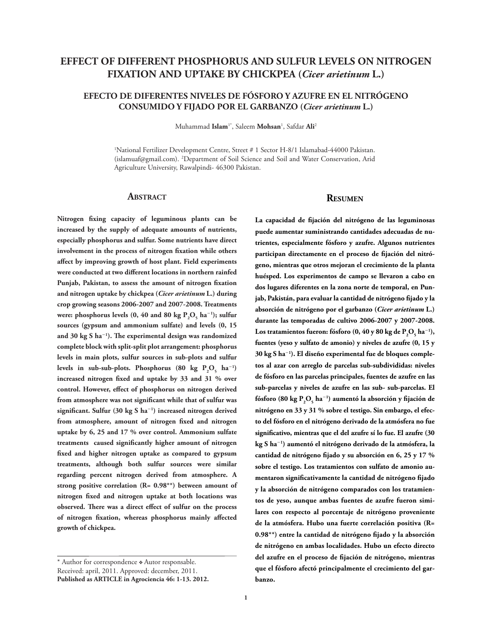# **EFFECT OF DIFFERENT PHOSPHORUS AND SULFUR LEVELS ON NITROGEN FIXATION AND UPTAKE BY CHICKPEA (***Cicer arietinum* **L.)**

## **EFECTO DE DIFERENTES NIVELES DE FÓSFORO Y AZUFRE EN EL NITRÓGENO CONSUMIDO Y FIJADO POR EL GARBANZO (***Cicer arietinum* **L.)**

Muhammad **Islam**1\*, Saleem **Mohsan**<sup>1</sup> , Safdar **Ali**<sup>2</sup>

1 National Fertilizer Development Centre, Street # 1 Sector H-8/1 Islamabad-44000 Pakistan. (islamuaf@gmail.com). 2 Department of Soil Science and Soil and Water Conservation, Arid Agriculture University, Rawalpindi- 46300 Pakistan.

#### **ABSTRACT**

**Nitrogen fixing capacity of leguminous plants can be increased by the supply of adequate amounts of nutrients, especially phosphorus and sulfur. Some nutrients have direct involvement in the process of nitrogen fixation while others affect by improving growth of host plant. Field experiments were conducted at two different locations in northern rainfed Punjab, Pakistan, to assess the amount of nitrogen fixation and nitrogen uptake by chickpea (***Cicer arietinum* **L.) during crop growing seasons 2006-2007 and 2007-2008. Treatments**  were: phosphorus levels  $(0, 40 \text{ and } 80 \text{ kg } P_2O_5 \text{ ha}^{-1})$ ; sulfur **sources (gypsum and ammonium sulfate) and levels (0, 15 and 30 kg S ha**-**<sup>1</sup> ). The experimental design was randomized complete block with split-split plot arrangement: phosphorus levels in main plots, sulfur sources in sub-plots and sulfur**  levels in sub-sub-plots. Phosphorus  $(80 \text{ kg } P_2O_5 \text{ ha}^{-1})$ **increased nitrogen fixed and uptake by 33 and 31 % over control. However, effect of phosphorus on nitrogen derived from atmosphere was not significant while that of sulfur was significant. Sulfur (30 kg S ha**-**<sup>1</sup> ) increased nitrogen derived from atmosphere, amount of nitrogen fixed and nitrogen uptake by 6, 25 and 17 % over control. Ammonium sulfate treatments caused significantly higher amount of nitrogen fixed and higher nitrogen uptake as compared to gypsum treatments, although both sulfur sources were similar regarding percent nitrogen derived from atmosphere. A strong positive correlation (R= 0.98\*\*) between amount of nitrogen fixed and nitrogen uptake at both locations was observed. There was a direct effect of sulfur on the process of nitrogen fixation, whereas phosphorus mainly affected growth of chickpea.**

### **Resumen**

**La capacidad de fijación del nitrógeno de las leguminosas puede aumentar suministrando cantidades adecuadas de nutrientes, especialmente fósforo y azufre. Algunos nutrientes participan directamente en el proceso de fijación del nitrógeno, mientras que otros mejoran el crecimiento de la planta huésped. Los experimentos de campo se llevaron a cabo en dos lugares diferentes en la zona norte de temporal, en Punjab, Pakistán, para evaluar la cantidad de nitrógeno fijado y la absorción de nitrógeno por el garbanzo (***Cicer arietinum* **L.) durante las temporadas de cultivo 2006-2007 y 2007-2008.**   $\text{Los tratamientos fueron: fósforo (0, 40 y 80 kg de P<sub>2</sub>O<sub>5</sub> ha<sup>-1</sup>),}$ **fuentes (yeso y sulfato de amonio) y niveles de azufre (0, 15 y 30 kg S ha**-**<sup>1</sup> ). El diseño experimental fue de bloques completos al azar con arreglo de parcelas sub-subdivididas: niveles de fósforo en las parcelas principales, fuentes de azufre en las sub-parcelas y niveles de azufre en las sub- sub-parcelas. El**  fósforo (80 kg  $P_2O_5$  ha $^{-1}$ ) aumentó la absorción y fijación de **nitrógeno en 33 y 31 % sobre el testigo. Sin embargo, el efecto del fósforo en el nitrógeno derivado de la atmósfera no fue significativo, mientras que el del azufre sí lo fue. El azufre (30 kg S ha**-**<sup>1</sup> ) aumentó el nitrógeno derivado de la atmósfera, la cantidad de nitrógeno fijado y su absorción en 6, 25 y 17 % sobre el testigo. Los tratamientos con sulfato de amonio aumentaron significativamente la cantidad de nitrógeno fijado y la absorción de nitrógeno comparados con los tratamientos de yeso, aunque ambas fuentes de azufre fueron similares con respecto al porcentaje de nitrógeno proveniente de la atmósfera. Hubo una fuerte correlación positiva (R= 0.98\*\*) entre la cantidad de nitrógeno fijado y la absorción de nitrógeno en ambas localidades. Hubo un efecto directo del azufre en el proceso de fijación de nitrógeno, mientras que el fósforo afectó principalmente el crecimiento del garbanzo.**

<sup>\*</sup> Author for correspondence  $*$  Autor responsable. Received: april, 2011. Approved: december, 2011. **Published as ARTICLE in Agrociencia 46: 1-13. 2012.**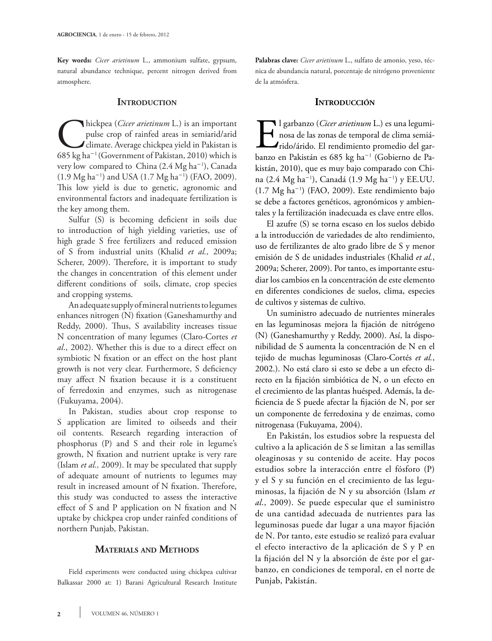**Key words:** *Cicer arietinum* L., ammonium sulfate, gypsum, natural abundance technique, percent nitrogen derived from atmosphere.

### **INTRODUCTION**

**Chickpea** (*Cicer arietinum* L.) is an important pulse crop of rainfed areas in semiarid/arid climate. Average chickpea yield in Pakistan is 685 kg ha<sup>-1</sup> (Government of Pakistan, 2010) which is pulse crop of rainfed areas in semiarid/arid climate. Average chickpea yield in Pakistan is very low compared to China (2.4 Mg ha-<sup>1</sup> ), Canada  $(1.9 \text{ Mg ha}^{-1})$  and USA  $(1.7 \text{ Mg ha}^{-1})$  (FAO, 2009). This low yield is due to genetic, agronomic and environmental factors and inadequate fertilization is the key among them.

Sulfur (S) is becoming deficient in soils due to introduction of high yielding varieties, use of high grade S free fertilizers and reduced emission of S from industrial units (Khalid *et al.,* 2009a; Scherer, 2009). Therefore, it is important to study the changes in concentration of this element under different conditions of soils, climate, crop species and cropping systems.

An adequate supply of mineral nutrients to legumes enhances nitrogen (N) fixation (Ganeshamurthy and Reddy, 2000). Thus, S availability increases tissue N concentration of many legumes (Claro-Cortes *et al*., 2002). Whether this is due to a direct effect on symbiotic N fixation or an effect on the host plant growth is not very clear. Furthermore, S deficiency may affect N fixation because it is a constituent of ferredoxin and enzymes, such as nitrogenase (Fukuyama, 2004).

In Pakistan, studies about crop response to S application are limited to oilseeds and their oil contents. Research regarding interaction of phosphorus (P) and S and their role in legume's growth, N fixation and nutrient uptake is very rare (Islam *et al.,* 2009). It may be speculated that supply of adequate amount of nutrients to legumes may result in increased amount of N fixation. Therefore, this study was conducted to assess the interactive effect of S and P application on N fixation and N uptake by chickpea crop under rainfed conditions of northern Punjab, Pakistan.

## **Materials and Methods**

Field experiments were conducted using chickpea cultivar Balkassar 2000 at: 1) Barani Agricultural Research Institute **Palabras clave:** *Cicer arietinum* L., sulfato de amonio, yeso, técnica de abundancia natural, porcentaje de nitrógeno proveniente de la atmósfera.

### **Introducción**

El garbanzo (*Cicer arietinum* L.) es una leguminosa de las zonas de temporal de clima semiá-<br>
rido/árido. El rendimiento promedio del garbanzo en Pakistán es 685 kg ha<sup>-1</sup> (Gobierno de Panosa de las zonas de temporal de clima semiárido/árido. El rendimiento promedio del garbanzo en Pakistán es 685 kg ha-<sup>1</sup> (Gobierno de Pakistán, 2010), que es muy bajo comparado con China (2.4 Mg ha-<sup>1</sup> ), Canadá (1.9 Mg ha-<sup>1</sup> ) y EE.UU. (1.7 Mg ha-<sup>1</sup> ) (FAO, 2009). Este rendimiento bajo se debe a factores genéticos, agronómicos y ambientales y la fertilización inadecuada es clave entre ellos.

El azufre (S) se torna escaso en los suelos debido a la introducción de variedades de alto rendimiento, uso de fertilizantes de alto grado libre de S y menor emisión de S de unidades industriales (Khalid *et al.*, 2009a; Scherer, 2009). Por tanto, es importante estudiar los cambios en la concentración de este elemento en diferentes condiciones de suelos, clima, especies de cultivos y sistemas de cultivo.

Un suministro adecuado de nutrientes minerales en las leguminosas mejora la fijación de nitrógeno (N) (Ganeshamurthy y Reddy, 2000). Así, la disponibilidad de S aumenta la concentración de N en el tejido de muchas leguminosas (Claro-Cortés *et al.*, 2002.). No está claro si esto se debe a un efecto directo en la fijación simbiótica de N, o un efecto en el crecimiento de las plantas huésped. Además, la deficiencia de S puede afectar la fijación de N, por ser un componente de ferredoxina y de enzimas, como nitrogenasa (Fukuyama, 2004).

En Pakistán, los estudios sobre la respuesta del cultivo a la aplicación de S se limitan a las semillas oleaginosas y su contenido de aceite. Hay pocos estudios sobre la interacción entre el fósforo (P) y el S y su función en el crecimiento de las leguminosas, la fijación de N y su absorción (Islam *et al*., 2009). Se puede especular que el suministro de una cantidad adecuada de nutrientes para las leguminosas puede dar lugar a una mayor fijación de N. Por tanto, este estudio se realizó para evaluar el efecto interactivo de la aplicación de S y P en la fijación del N y la absorción de éste por el garbanzo, en condiciones de temporal, en el norte de Punjab, Pakistán.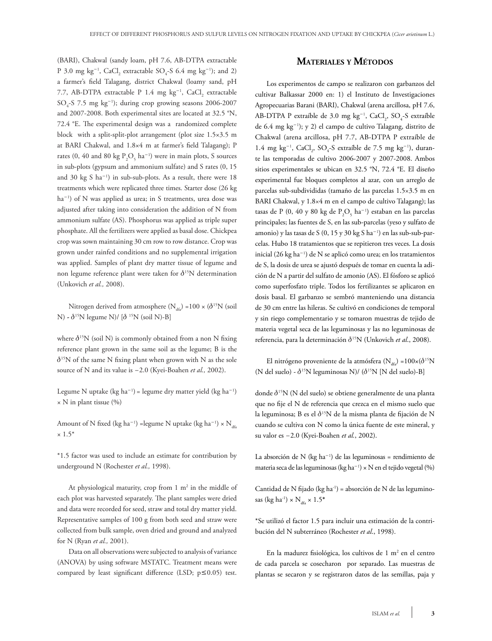(BARI), Chakwal (sandy loam, pH 7.6, AB-DTPA extractable P 3.0 mg kg<sup>-1</sup>, CaCl<sub>2</sub> extractable  $SO_4$ -S 6.4 mg kg<sup>-1</sup>); and 2) a farmer's field Talagang, district Chakwal (loamy sand, pH 7.7, AB-DTPA extractable P 1.4 mg  $\text{kg}^{-1}$ , CaCl<sub>2</sub> extractable  $SO<sub>4</sub>$ -S 7.5 mg kg<sup>-1</sup>); during crop growing seasons 2006-2007 and 2007-2008. Both experimental sites are located at 32.5 °N, 72.4 °E. The experimental design was a randomized complete block with a split-split-plot arrangement (plot size 1.5×3.5 m at BARI Chakwal, and 1.8×4 m at farmer's field Talagang); P rates (0, 40 and 80 kg  $P_2O_5$  ha<sup>-1</sup>) were in main plots, S sources in sub-plots (gypsum and ammonium sulfate) and S rates (0, 15 and 30 kg S ha<sup>-1</sup>) in sub-sub-plots. As a result, there were 18 treatments which were replicated three times. Starter dose (26 kg ha<sup>-1</sup>) of N was applied as urea; in S treatments, urea dose was adjusted after taking into consideration the addition of N from ammonium sulfate (AS). Phosphorus was applied as triple super phosphate. All the fertilizers were applied as basal dose. Chickpea crop was sown maintaining 30 cm row to row distance. Crop was grown under rainfed conditions and no supplemental irrigation was applied. Samples of plant dry matter tissue of legume and non legume reference plant were taken for  $\delta^{15}N$  determination (Unkovich *et al.,* 2008).

Nitrogen derived from atmosphere  $(N_{46})$  =100 × ( $\delta^{15}N$  (soil N) **-**  $\delta^{15}N$  legume N)/ [ $\delta^{15}N$  (soil N)-B]

where  $\delta^{15}N$  (soil N) is commonly obtained from a non N fixing reference plant grown in the same soil as the legume; B is the  $\delta^{15}N$  of the same N fixing plant when grown with N as the sole source of N and its value is -2.0 (Kyei-Boahen *et al.,* 2002).

Legume N uptake  $(kg ha^{-1})$  = legume dry matter yield  $(kg ha^{-1})$  $\times$  N in plant tissue (%)

Amount of N fixed (kg ha $^{-1}$ ) =legume N uptake (kg ha $^{-1}$ ) × N<sub>dfa</sub>  $\times$  1.5<sup>\*</sup>

\*1.5 factor was used to include an estimate for contribution by underground N (Rochester *et al.,* 1998).

At physiological maturity, crop from  $1 \text{ m}^2$  in the middle of each plot was harvested separately. The plant samples were dried and data were recorded for seed, straw and total dry matter yield. Representative samples of 100 g from both seed and straw were collected from bulk sample, oven dried and ground and analyzed for N (Ryan *et al.,* 2001).

Data on all observations were subjected to analysis of variance (ANOVA) by using software MSTATC. Treatment means were compared by least significant difference (LSD;  $p \le 0.05$ ) test.

## **Materiales y Métodos**

Los experimentos de campo se realizaron con garbanzos del cultivar Balkassar 2000 en: 1) el Instituto de Investigaciones Agropecuarias Barani (BARI), Chakwal (arena arcillosa, pH 7.6, AB-DTPA P extraíble de 3.0 mg  $kg^{-1}$ , CaCl<sub>2</sub>, SO<sub>4</sub>-S extraíble de 6.4 mg kg-<sup>1</sup> ); y 2) el campo de cultivo Talagang, distrito de Chakwal (arena arcillosa, pH 7.7, AB-DTPA P extraíble de  $1.4 \text{ mg kg}^{-1}$ , CaCl<sub>2</sub>, SO<sub>4</sub>-S extraíble de 7.5 mg kg<sup>-1</sup>), durante las temporadas de cultivo 2006-2007 y 2007-2008. Ambos sitios experimentales se ubican en 32.5 °N, 72.4 °E. El diseño experimental fue bloques completos al azar, con un arreglo de parcelas sub-subdivididas (tamaño de las parcelas 1.5×3.5 m en BARI Chakwal, y 1.8×4 m en el campo de cultivo Talagang); las tasas de P (0, 40 y 80 kg de  $P_2O_5$  ha<sup>-1</sup>) estaban en las parcelas principales; las fuentes de S, en las sub-parcelas (yeso y sulfato de amonio) y las tasas de S (0, 15 y 30 kg S ha<sup>-1</sup>) en las sub-sub-parcelas. Hubo 18 tratamientos que se repitieron tres veces. La dosis inicial (26 kg ha-<sup>1</sup> ) de N se aplicó como urea; en los tratamientos de S, la dosis de urea se ajustó después de tomar en cuenta la adición de N a partir del sulfato de amonio (AS). El fósforo se aplicó como superfosfato triple. Todos los fertilizantes se aplicaron en dosis basal. El garbanzo se sembró manteniendo una distancia de 30 cm entre las hileras. Se cultivó en condiciones de temporal y sin riego complementario y se tomaron muestras de tejido de materia vegetal seca de las leguminosas y las no leguminosas de referencia, para la determinación d15N (Unkovich *et al*., 2008).

El nitrógeno proveniente de la atmósfera (N<sub>ic</sub>) =100×( $\delta^{15}N$ (N del suelo) -  $\delta^{15}N$  leguminosas N)/ ( $\delta^{15}N$  [N del suelo)-B]

donde  $\delta^{15}N$  (N del suelo) se obtiene generalmente de una planta que no fije el N de referencia que crezca en el mismo suelo que la leguminosa; B es el  $\delta^{15}N$  de la misma planta de fijación de N cuando se cultiva con N como la única fuente de este mineral, y su valor es -2.0 (Kyei-Boahen *et al.*, 2002).

La absorción de N (kg ha<sup>-1</sup>) de las leguminosas = rendimiento de materia seca de las leguminosas (kg ha<sup>-1</sup>) × N en el tejido vegetal (%)

Cantidad de N fijado (kg ha-1) = absorción de N de las leguminosas (kg ha<sup>-1</sup>) × N<sub>dfa</sub> × 1.5<sup>\*</sup>

\*Se utilizó el factor 1.5 para incluir una estimación de la contribución del N subterráneo (Rochester *et al*., 1998).

En la madurez fisiológica, los cultivos de  $1 \text{ m}^2$  en el centro de cada parcela se cosecharon por separado. Las muestras de plantas se secaron y se registraron datos de las semillas, paja y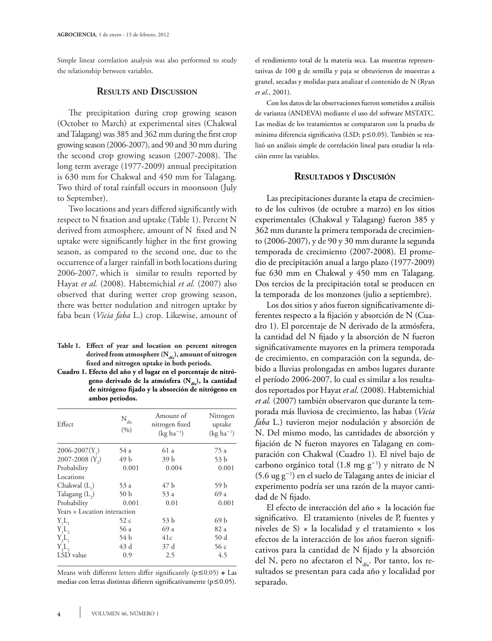Simple linear correlation analysis was also performed to study the relationship between variables.

### **Results and Discussion**

The precipitation during crop growing season (October to March) at experimental sites (Chakwal and Talagang) was 385 and 362 mm during the first crop growing season (2006-2007), and 90 and 30 mm during the second crop growing season (2007-2008). The long term average (1977-2009) annual precipitation is 630 mm for Chakwal and 450 mm for Talagang. Two third of total rainfall occurs in moonsoon (July to September).

Two locations and years differed significantly with respect to N fixation and uptake (Table 1). Percent N derived from atmosphere, amount of N fixed and N uptake were significantly higher in the first growing season, as compared to the second one, due to the occurrence of a larger rainfall in both locations during 2006-2007, which is similar to results reported by Hayat *et al.* (2008). Habtemichial *et al.* (2007) also observed that during wetter crop growing season, there was better nodulation and nitrogen uptake by faba bean (*Vicia faba* L.) crop. Likewise, amount of

- **Table 1. Effect of year and location on percent nitrogen**  derived from atmosphere (N<sub>dfa</sub>), amount of nitrogen **fixed and nitrogen uptake in both periods.**
- **Cuadro 1. Efecto del año y el lugar en el porcentaje de nitró**geno derivado de la atmósfera (N<sub>dfa</sub>), la cantidad **de nitrógeno fijado y la absorción de nitrógeno en ambos períodos.**

| Effect                       | $N_{_{dfa}}$<br>(9/0) | Amount of<br>nitrogen fixed<br>$(kg ha^{-1})$ | Nitrogen<br>uptake<br>$(kg ha^{-1})$ |  |
|------------------------------|-----------------------|-----------------------------------------------|--------------------------------------|--|
| $2006 - 2007(Y_)$            | 54 a                  | 61 a                                          | 75 a                                 |  |
| 2007-2008 $(Y_2)$            | 49 b                  | 39 b                                          | 53 b                                 |  |
| Probability                  | 0.001                 | 0.004                                         | 0.001                                |  |
| Locations                    |                       |                                               |                                      |  |
| Chakwal $(L_1)$              | 53 a                  | 47 b                                          | 59 b                                 |  |
| Talagang $(L_2)$             | 50 <sub>b</sub>       | 53 a                                          | 69 a                                 |  |
| Probability                  | 0.001                 | 0.01                                          | 0.001                                |  |
| Years × Location interaction |                       |                                               |                                      |  |
| Y,L                          | 52 c                  | 53 b                                          | 69 b                                 |  |
| Y <sub>1</sub> L             | 56 a                  | 69 a                                          | 82 a                                 |  |
| Y, L                         | 54 b                  | 41c                                           | 50d                                  |  |
| Y, L,                        | 43 d                  | 37 d                                          | 56c                                  |  |
| LSD value                    | 0.9                   | 2.5                                           | 4.5                                  |  |

Means with different letters differ significantly ( $p \le 0.05$ )  $\ast$  Las medias con letras distintas difieren significativamente ( $p \le 0.05$ ).

el rendimiento total de la materia seca. Las muestras representativas de 100 g de semilla y paja se obtuvieron de muestras a granel, secadas y molidas para analizar el contenido de N (Ryan *et al*., 2001).

Con los datos de las observaciones fueron sometidos a análisis de varianza (ANDEVA) mediante el uso del software MSTATC. Las medias de los tratamientos se compararon con la prueba de mínima diferencia significativa (LSD;  $p \le 0.05$ ). También se realizó un análisis simple de correlación lineal para estudiar la relación entre las variables.

## **Resultados y Discusión**

Las precipitaciones durante la etapa de crecimiento de los cultivos (de octubre a marzo) en los sitios experimentales (Chakwal y Talagang) fueron 385 y 362 mm durante la primera temporada de crecimiento (2006-2007), y de 90 y 30 mm durante la segunda temporada de crecimiento (2007-2008). El promedio de precipitación anual a largo plazo (1977-2009) fue 630 mm en Chakwal y 450 mm en Talagang. Dos tercios de la precipitación total se producen en la temporada de los monzones (julio a septiembre).

Los dos sitios y años fueron significativamente diferentes respecto a la fijación y absorción de N (Cuadro 1). El porcentaje de N derivado de la atmósfera, la cantidad del N fijado y la absorción de N fueron significativamente mayores en la primera temporada de crecimiento, en comparación con la segunda, debido a lluvias prolongadas en ambos lugares durante el período 2006-2007, lo cual es similar a los resultados reportados por Hayat *et al*. (2008). Habtemichial *et al.* (2007) también observaron que durante la temporada más lluviosa de crecimiento, las habas (*Vicia faba* L.) tuvieron mejor nodulación y absorción de N. Del mismo modo, las cantidades de absorción y fijación de N fueron mayores en Talagang en comparación con Chakwal (Cuadro 1). El nivel bajo de carbono orgánico total  $(1.8 \text{ mg g}^{-1})$  y nitrato de N (5.6 ug g-<sup>1</sup> ) en el suelo de Talagang antes de iniciar el experimento podría ser una razón de la mayor cantidad de N fijado.

El efecto de interacción del año × la locación fue significativo. El tratamiento (niveles de P, fuentes y niveles de S)  $\times$  la localidad y el tratamiento  $\times$  los efectos de la interacción de los años fueron significativos para la cantidad de N fijado y la absorción del N, pero no afectaron el  $N_{\text{data}}$ . Por tanto, los resultados se presentan para cada año y localidad por separado.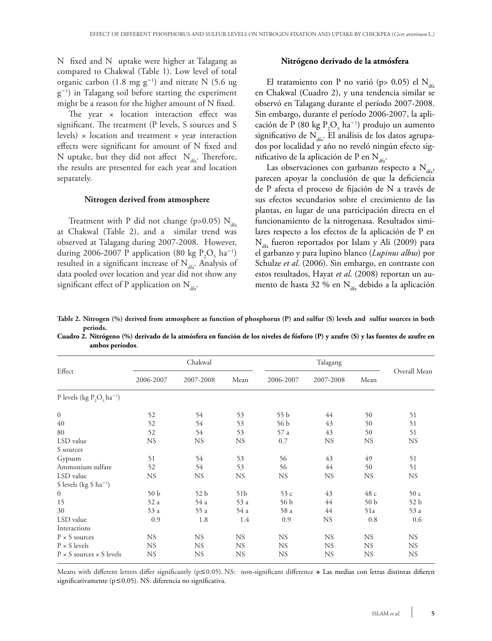N fixed and N uptake were higher at Talagang as compared to Chakwal (Table 1). Low level of total organic carbon (1.8 mg  $g^{-1}$ ) and nitrate N (5.6 ug g-<sup>1</sup> ) in Talagang soil before starting the experiment might be a reason for the higher amount of N fixed.

The year x location interaction effect was significant. The treatment (P levels, S sources and S levels)  $\times$  location and treatment  $\times$  year interaction effects were significant for amount of N fixed and N uptake, but they did not affect  $N_{\text{ds}}$ . Therefore, the results are presented for each year and location separately.

### **Nitrogen derived from atmosphere**

Treatment with P did not change (p>0.05)  $N_{df}$ at Chakwal (Table 2), and a similar trend was observed at Talagang during 2007-2008. However, during 2006-2007 P application (80 kg  $P_2O_5$  ha<sup>-1</sup>) resulted in a significant increase of  $N_{\text{des}}$ . Analysis of data pooled over location and year did not show any significant effect of P application on  $N_{dfa}$ .

#### **Nitrógeno derivado de la atmósfera**

El tratamiento con P no varió (p> 0,05) el  $N_{dd}$ en Chakwal (Cuadro 2), y una tendencia similar se observó en Talagang durante el período 2007-2008. Sin embargo, durante el período 2006-2007, la aplicación de P (80 kg  $P_2O_5$  ha<sup>-1</sup>) produjo un aumento significativo de  $N_{dd}$ . El análisis de los datos agrupados por localidad y año no reveló ningún efecto significativo de la aplicación de P en  $N_{\text{dd}}$ .

Las observaciones con garbanzo respecto a  $N_{\text{dS}}$ , parecen apoyar la conclusión de que la deficiencia de P afecta el proceso de fijación de N a través de sus efectos secundarios sobre el crecimiento de las plantas, en lugar de una participación directa en el funcionamiento de la nitrogenasa. Resultados similares respecto a los efectos de la aplicación de P en  $N_{\text{dfa}}$  fueron reportados por Islam y Ali (2009) para el garbanzo y para lupino blanco (*Lupinus albus*) por Schulze *et al*. (2006). Sin embargo, en contraste con estos resultados, Hayat *et al*. (2008) reportan un aumento de hasta 32 % en  $N_{\text{dfa}}$  debido a la aplicación

**Table 2. Nitrogen (%) derived from atmosphere as function of phosphorus (P) and sulfur (S) levels and sulfur sources in both periods.**

**Cuadro 2. Nitrógeno (%) derivado de la atmósfera en función de los niveles de fósforo (P) y azufre (S) y las fuentes de azufre en ambos períodos**.

|                                          | Chakwal         |                 |                 |           |           |                 |              |
|------------------------------------------|-----------------|-----------------|-----------------|-----------|-----------|-----------------|--------------|
| Effect                                   | 2006-2007       | 2007-2008       | Mean            | 2006-2007 | 2007-2008 | Mean            | Overall Mean |
| P levels (kg $P_2O_5$ ha <sup>-1</sup> ) |                 |                 |                 |           |           |                 |              |
| $\boldsymbol{0}$                         | 52              | 54              | 53              | 55 b      | 44        | 50              | 51           |
| 40                                       | 52              | 54              | 53              | 56 b      | 43        | 50              | 51           |
| 80                                       | 52              | 54              | 53              | 57 a      | 43        | 50              | 51           |
| LSD value                                | <b>NS</b>       | <b>NS</b>       | NS.             | 0.7       | <b>NS</b> | <b>NS</b>       | <b>NS</b>    |
| S sources                                |                 |                 |                 |           |           |                 |              |
| Gypsum                                   | 51              | 54              | 53              | 56        | 43        | 49              | 51           |
| Ammonium sulfate                         | 52              | 54              | 53              | 56        | 44        | 50              | 51           |
| LSD value                                | <b>NS</b>       | <b>NS</b>       | <b>NS</b>       | <b>NS</b> | <b>NS</b> | <b>NS</b>       | <b>NS</b>    |
| S levels (kg S ha <sup>-1</sup> )        |                 |                 |                 |           |           |                 |              |
| $\mathbf{0}$                             | 50 <sub>b</sub> | 52 <sub>b</sub> | 51 <sub>b</sub> | 53 с      | 43        | 48 c            | 50c          |
| 15                                       | 52 a            | 54 a            | 53 a            | 56 b      | 44        | 50 <sub>b</sub> | 52 b         |
| 30                                       | 53 a            | 55 a            | 54 a            | 58 a      | 44        | 51a             | 53 a         |
| LSD value                                | 0.9             | 1.8             | 1.4             | 0.9       | <b>NS</b> | 0.8             | 0.6          |
| Interactions                             |                 |                 |                 |           |           |                 |              |
| $P \times S$ sources                     | <b>NS</b>       | <b>NS</b>       | <b>NS</b>       | <b>NS</b> | <b>NS</b> | <b>NS</b>       | <b>NS</b>    |
| $P \times S$ levels                      | <b>NS</b>       | <b>NS</b>       | <b>NS</b>       | <b>NS</b> | <b>NS</b> | <b>NS</b>       | <b>NS</b>    |
| $P \times S$ sources $\times S$ levels   | <b>NS</b>       | <b>NS</b>       | <b>NS</b>       | <b>NS</b> | <b>NS</b> | <b>NS</b>       | <b>NS</b>    |

Means with different letters differ significantly ( $p \le 0.05$ ). NS: non-significant difference  $\bullet$  Las medias con letras distintas difieren significativamente ( $p \le 0.05$ ). NS: diferencia no significativa.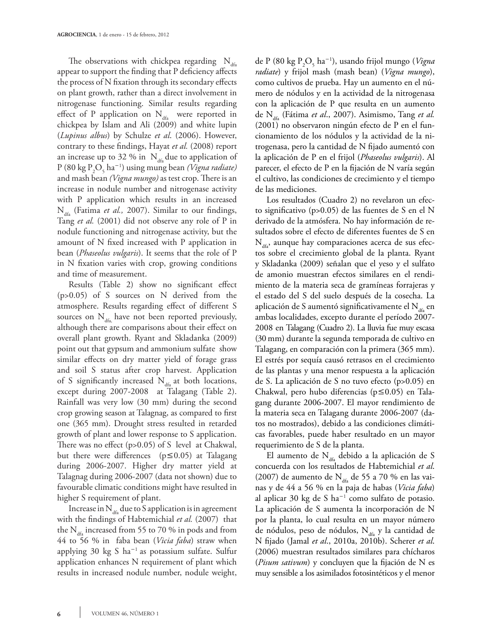The observations with chickpea regarding  $N_{\text{dd}}$ appear to support the finding that P deficiency affects the process of N fixation through its secondary effects on plant growth, rather than a direct involvement in nitrogenase functioning. Similar results regarding effect of P application on  $N_{dfa}$  were reported in chickpea by Islam and Ali (2009) and white lupin (*Lupinus albus*) by Schulze *et al*. (2006). However, contrary to these findings, Hayat *et al.* (2008) report an increase up to 32 % in  $N_{\text{dfa}}$  due to application of P (80 kg P2 O5 ha-<sup>1</sup> ) using mung bean *(Vigna radiate)*  and mash bean *(Vigna mungo)* as test crop. There is an increase in nodule number and nitrogenase activity with P application which results in an increased N<sub>dfa</sub> (Fatima *et al.*, 2007). Similar to our findings, Tang *et al.* (2001) did not observe any role of P in nodule functioning and nitrogenase activity, but the amount of N fixed increased with P application in bean (*Phaseolus vulgaris*). It seems that the role of P in N fixation varies with crop, growing conditions and time of measurement.

Results (Table 2) show no significant effect (p>0.05) of S sources on N derived from the atmosphere. Results regarding effect of different S sources on  $N_{\text{dfa}}$ , have not been reported previously, although there are comparisons about their effect on overall plant growth. Ryant and Skladanka (2009) point out that gypsum and ammonium sulfate show similar effects on dry matter yield of forage grass and soil S status after crop harvest. Application of S significantly increased  $N_{df}$  at both locations, except during 2007-2008 at Talagang (Table 2). Rainfall was very low (30 mm) during the second crop growing season at Talagnag, as compared to first one (365 mm). Drought stress resulted in retarded growth of plant and lower response to S application. There was no effect (p>0.05) of S level at Chakwal, but there were differences ( $p \le 0.05$ ) at Talagang during 2006-2007. Higher dry matter yield at Talagnag during 2006-2007 (data not shown) due to favourable climatic conditions might have resulted in higher S requirement of plant.

Increase in  $N_{46}$  due to S application is in agreement with the findings of Habtemichial *et al.* (2007) that the  $N_{\text{dfa}}$  increased from 55 to 70 % in pods and from 44 to 56 % in faba bean (*Vicia faba*) straw when applying 30 kg S ha<sup>-1</sup> as potassium sulfate. Sulfur application enhances N requirement of plant which results in increased nodule number, nodule weight,

de P (80 kg P2 O5 ha-<sup>1</sup> ), usando frijol mungo (*Vigna radiate*) y frijol mash (mash bean) (*Vigna mungo*), como cultivos de prueba. Hay un aumento en el número de nódulos y en la actividad de la nitrogenasa con la aplicación de P que resulta en un aumento de N<sub>dfa</sub> (Fátima *et al.*, 2007). Asimismo, Tang *et al.* (2001) no observaron ningún efecto de P en el funcionamiento de los nódulos y la actividad de la nitrogenasa, pero la cantidad de N fijado aumentó con la aplicación de P en el frijol (*Phaseolus vulgaris*). Al parecer, el efecto de P en la fijación de N varía según el cultivo, las condiciones de crecimiento y el tiempo de las mediciones.

Los resultados (Cuadro 2) no revelaron un efecto significativo (p>0.05) de las fuentes de S en el N derivado de la atmósfera. No hay información de resultados sobre el efecto de diferentes fuentes de S en  $N_{\text{ds}}$ , aunque hay comparaciones acerca de sus efectos sobre el crecimiento global de la planta. Ryant y Skladanka (2009) señalan que el yeso y el sulfato de amonio muestran efectos similares en el rendimiento de la materia seca de gramíneas forrajeras y el estado del S del suelo después de la cosecha. La aplicación de S aumentó significativamente el  $N_{\text{dfa}}$  en ambas localidades, excepto durante el período 2007- 2008 en Talagang (Cuadro 2). La lluvia fue muy escasa (30 mm) durante la segunda temporada de cultivo en Talagang, en comparación con la primera (365 mm). El estrés por sequía causó retrasos en el crecimiento de las plantas y una menor respuesta a la aplicación de S. La aplicación de S no tuvo efecto (p>0.05) en Chakwal, pero hubo diferencias ( $p \le 0.05$ ) en Talagang durante 2006-2007. El mayor rendimiento de la materia seca en Talagang durante 2006-2007 (datos no mostrados), debido a las condiciones climáticas favorables, puede haber resultado en un mayor requerimiento de S de la planta.

El aumento de  $N_{dfa}$  debido a la aplicación de S concuerda con los resultados de Habtemichial *et al*. (2007) de aumento de  $N_{\text{dfa}}$  de 55 a 70 % en las vainas y de 44 a 56 % en la paja de habas (*Vicia faba*) al aplicar 30 kg de S ha<sup>-1</sup> como sulfato de potasio. La aplicación de S aumenta la incorporación de N por la planta, lo cual resulta en un mayor número de nódulos, peso de nódulos,  $N_{\text{dfa}}$  y la cantidad de N fijado (Jamal *et al*., 2010a, 2010b). Scherer *et al*. (2006) muestran resultados similares para chícharos (*Pisum sativum*) y concluyen que la fijación de N es muy sensible a los asimilados fotosintéticos y el menor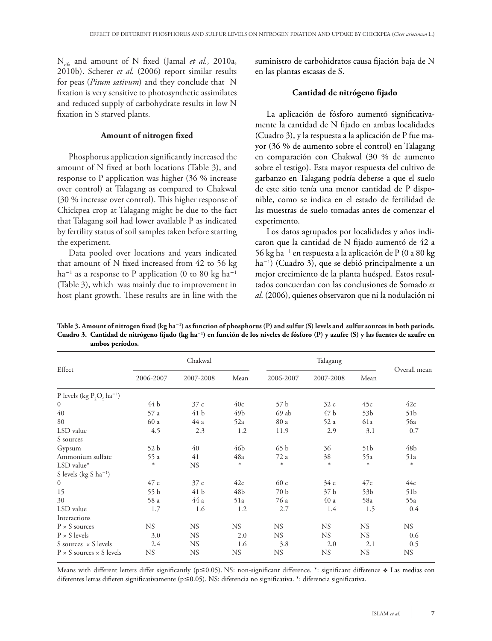Ndfa and amount of N fixed (Jamal *et al.,* 2010a, 2010b). Scherer *et al.* (2006) report similar results for peas (*Pisum sativum*) and they conclude that N fixation is very sensitive to photosynthetic assimilates and reduced supply of carbohydrate results in low N fixation in S starved plants.

### **Amount of nitrogen fixed**

Phosphorus application significantly increased the amount of N fixed at both locations (Table 3), and response to P application was higher (36 % increase over control) at Talagang as compared to Chakwal (30 % increase over control). This higher response of Chickpea crop at Talagang might be due to the fact that Talagang soil had lower available P as indicated by fertility status of soil samples taken before starting the experiment.

Data pooled over locations and years indicated that amount of N fixed increased from 42 to 56 kg  $ha^{-1}$  as a response to P application (0 to 80 kg  $ha^{-1}$ (Table 3), which was mainly due to improvement in host plant growth. These results are in line with the suministro de carbohidratos causa fijación baja de N en las plantas escasas de S.

#### **Cantidad de nitrógeno fijado**

La aplicación de fósforo aumentó significativamente la cantidad de N fijado en ambas localidades (Cuadro 3), y la respuesta a la aplicación de P fue mayor (36 % de aumento sobre el control) en Talagang en comparación con Chakwal (30 % de aumento sobre el testigo). Esta mayor respuesta del cultivo de garbanzo en Talagang podría deberse a que el suelo de este sitio tenía una menor cantidad de P disponible, como se indica en el estado de fertilidad de las muestras de suelo tomadas antes de comenzar el experimento.

Los datos agrupados por localidades y años indicaron que la cantidad de N fijado aumentó de 42 a 56 kg ha-<sup>1</sup> en respuesta a la aplicación de P (0 a 80 kg ha-<sup>1</sup> ) (Cuadro 3), que se debió principalmente a un mejor crecimiento de la planta huésped. Estos resultados concuerdan con las conclusiones de Somado *et al*. (2006), quienes observaron que ni la nodulación ni

| Effect                                   | Chakwal         |                 |           | Talagang  |                 |                 |                 |
|------------------------------------------|-----------------|-----------------|-----------|-----------|-----------------|-----------------|-----------------|
|                                          | 2006-2007       | 2007-2008       | Mean      | 2006-2007 | 2007-2008       | Mean            | Overall mean    |
| P levels (kg $P_2O_5$ ha <sup>-1</sup> ) |                 |                 |           |           |                 |                 |                 |
| $\mathbf{0}$                             | 44 b            | 37c             | 40c       | 57 b      | 32c             | 45c             | 42c             |
| 40                                       | 57 a            | 41 b            | 49b       | 69ab      | 47 b            | 53 <sub>b</sub> | 51 <sub>b</sub> |
| 80                                       | 60 a            | 44 a            | 52a       | 80 a      | 52 a            | 61a             | 56a             |
| LSD value                                | 4.5             | 2.3             | 1.2       | 11.9      | 2.9             | 3.1             | 0.7             |
| S sources                                |                 |                 |           |           |                 |                 |                 |
| Gypsum                                   | 52 <sub>b</sub> | 40              | 46b       | 65b       | 36              | 51 <sub>b</sub> | 48 <sub>b</sub> |
| Ammonium sulfate                         | 55 a            | 41              | 48a       | 72 a      | 38              | 55a             | 51a             |
| $LSD$ value*                             | $\ast$          | <b>NS</b>       | $\ast$    | $\ast$    | $\ast$          | $\ast$          | $\ast$          |
| S levels (kg S ha <sup>-1</sup> )        |                 |                 |           |           |                 |                 |                 |
| $\boldsymbol{0}$                         | 47 c            | 37c             | 42c       | 60c       | 34c             | 47c             | 44c             |
| 15                                       | 55 b            | 41 <sub>b</sub> | 48b       | 70 b      | 37 <sub>b</sub> | 53 <sub>b</sub> | 51 <sub>b</sub> |
| 30                                       | 58 a            | 44 a            | 51a       | 76 a      | 40a             | 58a             | 55a             |
| LSD value                                | 1.7             | 1.6             | 1.2       | 2.7       | 1.4             | 1.5             | 0.4             |
| Interactions                             |                 |                 |           |           |                 |                 |                 |
| $P \times S$ sources                     | <b>NS</b>       | <b>NS</b>       | <b>NS</b> | <b>NS</b> | <b>NS</b>       | <b>NS</b>       | <b>NS</b>       |
| $P \times S$ levels                      | 3.0             | <b>NS</b>       | 2.0       | <b>NS</b> | <b>NS</b>       | NS.             | 0.6             |
| S sources $\times$ S levels              | 2.4             | <b>NS</b>       | 1.6       | 3.8       | 2.0             | 2.1             | 0.5             |
| $P \times S$ sources $\times S$ levels   | <b>NS</b>       | <b>NS</b>       | <b>NS</b> | <b>NS</b> | <b>NS</b>       | <b>NS</b>       | <b>NS</b>       |

**Table 3. Amount of nitrogen fixed (kg ha**-**<sup>1</sup> ) as function of phosphorus (P) and sulfur (S) levels and sulfur sources in both periods. Cuadro 3. Cantidad de nitrógeno fijado (kg ha**-**<sup>1</sup> ) en función de los niveles de fósforo (P) y azufre (S) y las fuentes de azufre en ambos períodos.**

Means with different letters differ significantly ( $p \le 0.05$ ). NS: non-significant difference. \*: significant difference  $\triangle$  Las medias con diferentes letras difieren significativamente ( $p \le 0.05$ ). NS: diferencia no significativa. \*: diferencia significativa.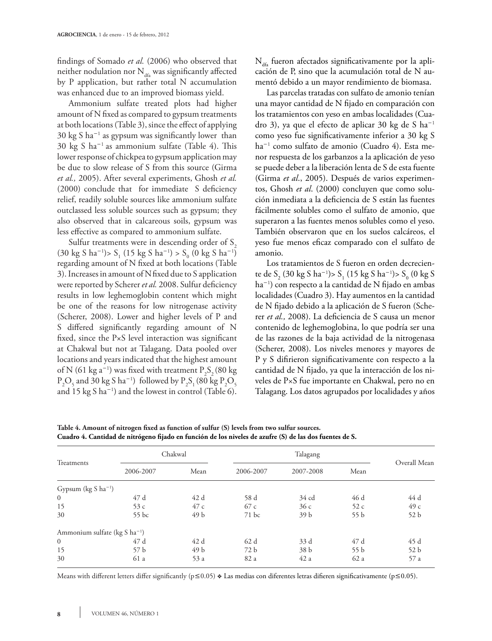findings of Somado *et al.* (2006) who observed that neither nodulation nor  $N_{\text{dfa}}$  was significantly affected by P application, but rather total N accumulation was enhanced due to an improved biomass yield.

Ammonium sulfate treated plots had higher amount of N fixed as compared to gypsum treatments at both locations (Table 3), since the effect of applying 30 kg S ha-<sup>1</sup> as gypsum was significantly lower than 30 kg S ha<sup>-1</sup> as ammonium sulfate (Table 4). This lower response of chickpea to gypsum application may be due to slow release of S from this source (Girma *et al.,* 2005). After several experiments, Ghosh *et al.*  (2000) conclude that for immediate S deficiency relief, readily soluble sources like ammonium sulfate outclassed less soluble sources such as gypsum; they also observed that in calcareous soils, gypsum was less effective as compared to ammonium sulfate.

Sulfur treatments were in descending order of  $S<sub>2</sub>$  $(30 \text{ kg } S \text{ ha}^{-1})$ > S<sub>1</sub>  $(15 \text{ kg } S \text{ ha}^{-1})$  > S<sub>0</sub>  $(0 \text{ kg } S \text{ ha}^{-1})$ regarding amount of N fixed at both locations (Table 3). Increases in amount of Nfixed due to S application were reported by Scherer *et al.* 2008. Sulfur deficiency results in low leghemoglobin content which might be one of the reasons for low nitrogenase activity (Scherer, 2008). Lower and higher levels of P and S differed significantly regarding amount of N fixed, since the  $P\times S$  level interaction was significant at Chakwal but not at Talagang. Data pooled over locations and years indicated that the highest amount of N (61 kg a<sup>-1</sup>) was fixed with treatment  $P_2S_2(80 \text{ kg})$  $P_2O_5$  and 30 kg S ha<sup>-1</sup>) followed by  $P_2S_1$  (80 kg  $P_2O_5$ and 15 kg S ha-<sup>1</sup> ) and the lowest in control (Table 6).

 $N_{\text{ds}}$  fueron afectados significativamente por la aplicación de P, sino que la acumulación total de N aumentó debido a un mayor rendimiento de biomasa.

Las parcelas tratadas con sulfato de amonio tenían una mayor cantidad de N fijado en comparación con los tratamientos con yeso en ambas localidades (Cuadro 3), ya que el efecto de aplicar 30 kg de S ha<sup>-1</sup> como yeso fue significativamente inferior a 30 kg S ha-<sup>1</sup> como sulfato de amonio (Cuadro 4). Esta menor respuesta de los garbanzos a la aplicación de yeso se puede deber a la liberación lenta de S de esta fuente (Girma *et al*., 2005). Después de varios experimentos, Ghosh *et al*. (2000) concluyen que como solución inmediata a la deficiencia de S están las fuentes fácilmente solubles como el sulfato de amonio, que superaron a las fuentes menos solubles como el yeso. También observaron que en los suelos calcáreos, el yeso fue menos eficaz comparado con el sulfato de amonio.

Los tratamientos de S fueron en orden decreciente de S<sub>2</sub> (30 kg S ha<sup>-1</sup>)> S<sub>1</sub> (15 kg S ha<sup>-1</sup>)> S<sub>0</sub> (0 kg S ha-<sup>1</sup> ) con respecto a la cantidad de N fijado en ambas localidades (Cuadro 3). Hay aumentos en la cantidad de N fijado debido a la aplicación de S fueron (Scherer *et al.,* 2008). La deficiencia de S causa un menor contenido de leghemoglobina, lo que podría ser una de las razones de la baja actividad de la nitrogenasa (Scherer, 2008). Los niveles menores y mayores de P y S difirieron significativamente con respecto a la cantidad de N fijado, ya que la interacción de los niveles de P×S fue importante en Chakwal, pero no en Talagang. Los datos agrupados por localidades y años

**Table 4. Amount of nitrogen fixed as function of sulfur (S) levels from two sulfur sources. Cuadro 4. Cantidad de nitrógeno fijado en función de los niveles de azufre (S) de las dos fuentes de S.**

| Treatments                                |           | Chakwal |           | Talagang        |      |              |  |  |
|-------------------------------------------|-----------|---------|-----------|-----------------|------|--------------|--|--|
|                                           | 2006-2007 | Mean    | 2006-2007 | 2007-2008       | Mean | Overall Mean |  |  |
| Gypsum $(kg S ha^{-1})$                   |           |         |           |                 |      |              |  |  |
| $\overline{0}$                            | 47 d      | 42 d    | 58 d      | 34 cd           | 46 d | 44 d         |  |  |
| 15                                        | 53c       | 47 c    | 67 c      | 36c             | 52c  | 49 c         |  |  |
| 30                                        | $55$ bc   | 49 b    | 71 bc     | 39 <sub>b</sub> | 55b  | 52b          |  |  |
| Ammonium sulfate (kg S ha <sup>-1</sup> ) |           |         |           |                 |      |              |  |  |
| $\mathbf{0}$                              | 47 d      | 42 d    | 62 d      | 33 d            | 47 d | 45 d         |  |  |
| 15                                        | 57 b      | 49 b    | 72 b      | 38 b            | 55b  | 52b          |  |  |
| 30                                        | 61 a      | 53 a    | 82 a      | 42a             | 62 a | 57 a         |  |  |

Means with different letters differ significantly ( $p \le 0.05$ )  $\bullet$  Las medias con diferentes letras difieren significativamente ( $p \le 0.05$ ).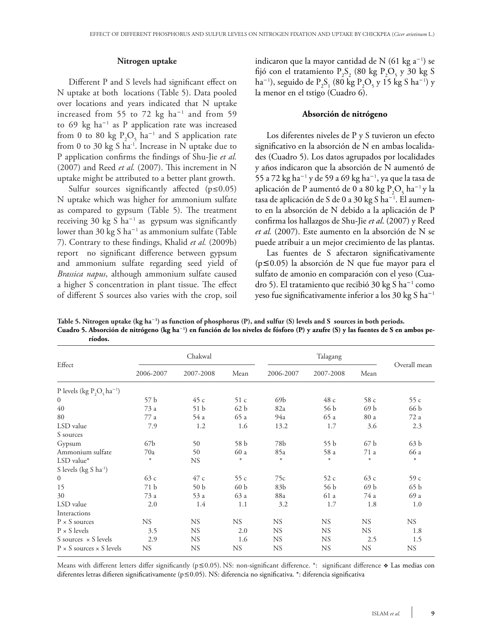#### **Nitrogen uptake**

Different P and S levels had significant effect on N uptake at both locations (Table 5). Data pooled over locations and years indicated that N uptake increased from 55 to 72  $kg$   $ha^{-1}$  and from 59 to 69 kg ha-<sup>1</sup> as P application rate was increased from 0 to 80 kg  $P_2O_5$  ha<sup>-1</sup> and S application rate from 0 to 30 kg S ha<sup>-1</sup>. Increase in N uptake due to P application confirms the findings of Shu-Jie *et al.* (2007) and Reed *et al.* (2007). This increment in N uptake might be attributed to a better plant growth.

Sulfur sources significantly affected  $(p \le 0.05)$ N uptake which was higher for ammonium sulfate as compared to gypsum (Table 5). The treatment receiving 30  $kg S$  ha<sup>-1</sup> as gypsum was significantly lower than 30  $kg S$  ha<sup>-1</sup> as ammonium sulfate (Table 7). Contrary to these findings, Khalid *et al.* (2009b) report no significant difference between gypsum and ammonium sulfate regarding seed yield of *Brassica napus*, although ammonium sulfate caused a higher S concentration in plant tissue. The effect of different S sources also varies with the crop, soil

indicaron que la mayor cantidad de N (61  $kg a^{-1}$ ) se fijó con el tratamiento  $P_2S_2$  (80 kg  $P_2O_5$  y 30 kg S ha<sup>-1</sup>), seguido de P<sub>2</sub>S<sub>1</sub> (80 kg P<sub>2</sub>O<sub>5</sub> y 15 kg S ha<sup>-1</sup>) y la menor en el tstigo (Cuadro 6).

#### **Absorción de nitrógeno**

Los diferentes niveles de P y S tuvieron un efecto significativo en la absorción de N en ambas localidades (Cuadro 5). Los datos agrupados por localidades y años indicaron que la absorción de N aumentó de 55 a 72 kg ha-<sup>1</sup> y de 59 a 69 kg ha-<sup>1</sup> , ya que la tasa de aplicación de P aumentó de 0 a 80 kg  $P_2O_5$  ha $^{-1}$ y la tasa de aplicación de S de 0 a 30 kg S ha<sup>–1</sup>. El aumento en la absorción de N debido a la aplicación de P confirma los hallazgos de Shu-Jie *et al*. (2007) y Reed *et al.* (2007). Este aumento en la absorción de N se puede atribuir a un mejor crecimiento de las plantas.

Las fuentes de S afectaron significativamente ( $p \le 0.05$ ) la absorción de N que fue mayor para el sulfato de amonio en comparación con el yeso (Cuadro 5). El tratamiento que recibió 30 kg S ha-<sup>1</sup> como yeso fue significativamente inferior a los 30 kg S ha<sup>-1</sup>

**Table 5. Nitrogen uptake (kg ha**-**<sup>1</sup> ) as function of phosphorus (P), and sulfur (S) levels and S sources in both periods. Cuadro 5. Absorción de nitrógeno (kg ha**-**<sup>1</sup> ) en función de los niveles de fósforo (P) y azufre (S) y las fuentes de S en ambos períodos.**

|                                          | Chakwal         |                 |                 | Talagang  |           |                 |                 |  |
|------------------------------------------|-----------------|-----------------|-----------------|-----------|-----------|-----------------|-----------------|--|
| Effect                                   | 2006-2007       | 2007-2008       | Mean            | 2006-2007 | 2007-2008 | Mean            | Overall mean    |  |
| P levels (kg $P_2O_5$ ha <sup>-1</sup> ) |                 |                 |                 |           |           |                 |                 |  |
| $\overline{0}$                           | 57 b            | 45c             | 51c             | 69b       | 48c       | 58 c            | 55 c            |  |
| 40                                       | 73 a            | 51 <sub>b</sub> | 62 <sub>b</sub> | 82a       | 56 b      | 69 b            | 66 b            |  |
| 80                                       | 77 a            | 54 a            | 65 a            | 94a       | 65 a      | 80 a            | 72 a            |  |
| LSD value                                | 7.9             | 1.2             | 1.6             | 13.2      | 1.7       | 3.6             | 2.3             |  |
| S sources                                |                 |                 |                 |           |           |                 |                 |  |
| Gypsum                                   | 67 <sub>b</sub> | 50              | 58 b            | 78b       | 55b       | 67 <sub>b</sub> | 63 b            |  |
| Ammonium sulfate                         | 70a             | 50              | 60 a            | 85a       | 58 a      | 71 a            | 66 a            |  |
| $LSD$ value*                             | $\ast$          | <b>NS</b>       | $\ast$          | $\ast$    | $\ast$    | $\ast$          | $\ast$          |  |
| S levels (kg S ha <sup>-1</sup> )        |                 |                 |                 |           |           |                 |                 |  |
| $\boldsymbol{0}$                         | 63c             | 47 c            | 55c             | 75с       | 52c       | 63c             | 59c             |  |
| 15                                       | 71 <sub>b</sub> | 50 <sub>b</sub> | 60 b            | 83b       | 56 b      | 69 b            | 65 <sub>b</sub> |  |
| 30                                       | 73 a            | 53 a            | 63 a            | 88a       | 61 a      | 74 a            | 69 a            |  |
| LSD value                                | 2.0             | 1.4             | 1.1             | 3.2       | 1.7       | 1.8             | 1.0             |  |
| Interactions                             |                 |                 |                 |           |           |                 |                 |  |
| $P \times S$ sources                     | NS.             | <b>NS</b>       | <b>NS</b>       | <b>NS</b> | <b>NS</b> | <b>NS</b>       | <b>NS</b>       |  |
| $P \times S$ levels                      | 3.5             | <b>NS</b>       | 2.0             | <b>NS</b> | <b>NS</b> | <b>NS</b>       | 1.8             |  |
| S sources $\times$ S levels              | 2.9             | <b>NS</b>       | 1.6             | <b>NS</b> | <b>NS</b> | 2.5             | 1.5             |  |
| $P \times S$ sources $\times S$ levels   | <b>NS</b>       | <b>NS</b>       | <b>NS</b>       | <b>NS</b> | <b>NS</b> | <b>NS</b>       | <b>NS</b>       |  |

Means with different letters differ significantly ( $p \le 0.05$ ). NS: non-significant difference. \*: significant difference  $\bullet$  Las medias con diferentes letras difieren significativamente ( $p \le 0.05$ ). NS: diferencia no significativa. \*: diferencia significativa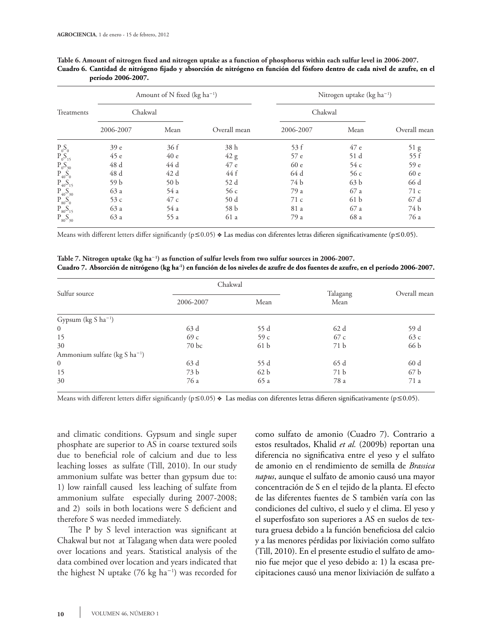|                            |                 | Amount of N fixed (kg ha <sup>-1</sup> ) |              | Nitrogen uptake (kg ha <sup>-1</sup> ) |                 |              |  |
|----------------------------|-----------------|------------------------------------------|--------------|----------------------------------------|-----------------|--------------|--|
| Treatments                 | Chakwal         |                                          |              | Chakwal                                |                 |              |  |
|                            | 2006-2007       | Mean                                     | Overall mean | 2006-2007                              | Mean            | Overall mean |  |
| $P_0S_0$                   | 39 <sub>e</sub> | 36f                                      | 38 h         | 53 f                                   | 47 e            | 51 g         |  |
| $P_0S_{15}$                | 45e             | 40e                                      | 42 g         | 57 e                                   | 51 d            | 55f          |  |
|                            | 48 d            | 44 d                                     | 47 e         | 60 e                                   | 54 c            | 59 e         |  |
| $P_0S_{30}$<br>$P_{40}S_0$ | 48 d            | 42 d                                     | 44 f         | 64 d                                   | 56c             | 60 e         |  |
| $P_{40}S_{15}$             | 59 b            | 50 <sub>b</sub>                          | 52 d         | 74 b                                   | 63 <sub>b</sub> | 66 d         |  |
| $P_{40}S_{30}$             | 63 a            | 54 a                                     | 56c          | 79 a                                   | 67 a            | 71c          |  |
| $P_{80}S_0$                | 53c             | 47 c                                     | 50d          | 71c                                    | 61 b            | 67 d         |  |
| $P_{80}S_{15}$             | 63 a            | 54 a                                     | 58 b         | 81 a                                   | 67 a            | 74 b         |  |
| $P_{80}S_{30}$             | 63 a            | 55 a                                     | 61 a         | 79 a                                   | 68 a            | 76 a         |  |

| Table 6. Amount of nitrogen fixed and nitrogen uptake as a function of phosphorus within each sulfur level in 2006-2007.     |  |  |  |
|------------------------------------------------------------------------------------------------------------------------------|--|--|--|
| Cuadro 6. Cantidad de nitrógeno fijado y absorción de nitrógeno en función del fósforo dentro de cada nivel de azufre, en el |  |  |  |
| período 2006-2007.                                                                                                           |  |  |  |

Means with different letters differ significantly ( $p \le 0.05$ )  $\triangleleft$  Las medias con diferentes letras difieren significativamente ( $p \le 0.05$ ).

**Table 7. Nitrogen uptake (kg ha**-**<sup>1</sup> ) as function of sulfur levels from two sulfur sources in 2006-2007. Cuadro 7. Absorción de nitrógeno (kg ha-1) en función de los niveles de azufre de dos fuentes de azufre, en el período 2006-2007.**

|                                     | Chakwal          |                 |                  |              |  |
|-------------------------------------|------------------|-----------------|------------------|--------------|--|
| Sulfur source                       | 2006-2007        | Mean            | Talagang<br>Mean | Overall mean |  |
| Gypsum $(kg S ha^{-1})$             |                  |                 |                  |              |  |
| $\overline{0}$                      | 63 d             | 55 d            | 62 d             | 59 d         |  |
| 15                                  | 69c              | 59c             | 67 c             | 63c          |  |
| 30                                  | 70 <sub>bc</sub> | 61 b            | 71 b             | 66 b         |  |
| Ammonium sulfate ( $kg S ha^{-1}$ ) |                  |                 |                  |              |  |
| $\overline{0}$                      | 63 d             | 55 d            | 65 d             | 60 d         |  |
| 15                                  | 73 b             | 62 <sub>b</sub> | 71 b             | 67 b         |  |
| 30                                  | 76 a             | 65 a            | 78 a             | 71 a         |  |

Means with different letters differ significantly ( $p \le 0.05$ )  $\bullet$  Las medias con diferentes letras difieren significativamente ( $p \le 0.05$ ).

and climatic conditions. Gypsum and single super phosphate are superior to AS in coarse textured soils due to beneficial role of calcium and due to less leaching losses as sulfate (Till, 2010). In our study ammonium sulfate was better than gypsum due to: 1) low rainfall caused less leaching of sulfate from ammonium sulfate especially during 2007-2008; and 2) soils in both locations were S deficient and therefore S was needed immediately.

The P by S level interaction was significant at Chakwal but not at Talagang when data were pooled over locations and years. Statistical analysis of the data combined over location and years indicated that the highest N uptake  $(76 \text{ kg ha}^{-1})$  was recorded for como sulfato de amonio (Cuadro 7). Contrario a estos resultados, Khalid *et al.* (2009b) reportan una diferencia no significativa entre el yeso y el sulfato de amonio en el rendimiento de semilla de *Brassica napus*, aunque el sulfato de amonio causó una mayor concentración de S en el tejido de la planta. El efecto de las diferentes fuentes de S también varía con las condiciones del cultivo, el suelo y el clima. El yeso y el superfosfato son superiores a AS en suelos de textura gruesa debido a la función beneficiosa del calcio y a las menores pérdidas por lixiviación como sulfato (Till, 2010). En el presente estudio el sulfato de amonio fue mejor que el yeso debido a: 1) la escasa precipitaciones causó una menor lixiviación de sulfato a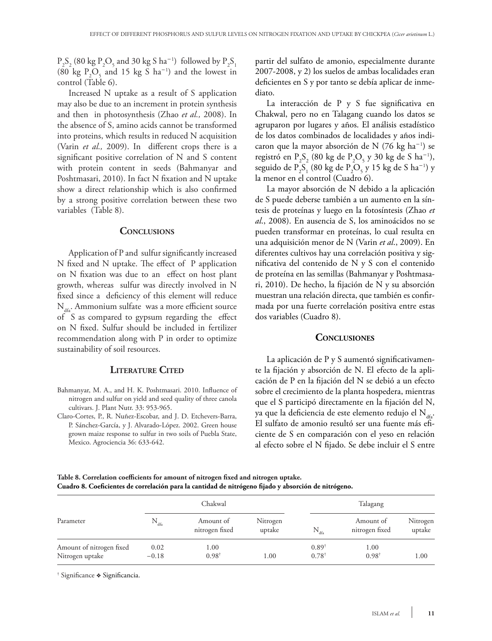$P_2S_2$  (80 kg  $P_2O_5$  and 30 kg S ha<sup>-1</sup>) followed by  $P_2S_1$ (80 kg  $P_2O_5$  and 15 kg S ha<sup>-1</sup>) and the lowest in control (Table 6).

Increased N uptake as a result of S application may also be due to an increment in protein synthesis and then in photosynthesis (Zhao *et al.,* 2008). In the absence of S, amino acids cannot be transformed into proteins, which results in reduced N acquisition (Varin *et al.,* 2009). In different crops there is a significant positive correlation of N and S content with protein content in seeds (Bahmanyar and Poshtmasari, 2010). In fact N fixation and N uptake show a direct relationship which is also confirmed by a strong positive correlation between these two variables (Table 8).

## CONCLUSIONS

Application of P and sulfur significantly increased N fixed and N uptake. The effect of P application on N fixation was due to an effect on host plant growth, whereas sulfur was directly involved in N fixed since a deficiency of this element will reduce  $N_{\text{data}}$ . Ammonium sulfate was a more efficient source of S as compared to gypsum regarding the effect on N fixed. Sulfur should be included in fertilizer recommendation along with P in order to optimize sustainability of soil resources.

### **Literature Cited**

- Bahmanyar, M. A., and H. K. Poshtmasari. 2010. Influence of nitrogen and sulfur on yield and seed quality of three canola cultivars. J. Plant Nutr. 33: 953-965.
- Claro-Cortes, P., R. Nuñez-Escobar, and J. D. Etchevers-Barra, P. Sánchez-García, y J. Alvarado-López. 2002. Green house grown maize response to sulfur in two soils of Puebla State, Mexico. Agrociencia 36: 633-642.

partir del sulfato de amonio, especialmente durante 2007-2008, y 2) los suelos de ambas localidades eran deficientes en S y por tanto se debía aplicar de inmediato.

La interacción de P y S fue significativa en Chakwal, pero no en Talagang cuando los datos se agruparon por lugares y años. El análisis estadístico de los datos combinados de localidades y años indicaron que la mayor absorción de N (76 kg ha $^{-1}$ ) se registró en  $P_2S_2$  (80 kg de  $P_2O_5$  y 30 kg de S ha<sup>-1</sup>), seguido de  $P_2S_1$  (80 kg de  $P_2O_5$  y 15 kg de S ha<sup>-1</sup>) y la menor en el control (Cuadro 6).

La mayor absorción de N debido a la aplicación de S puede deberse también a un aumento en la síntesis de proteínas y luego en la fotosíntesis (Zhao *et al*., 2008). En ausencia de S, los aminoácidos no se pueden transformar en proteínas, lo cual resulta en una adquisición menor de N (Varin *et al*., 2009). En diferentes cultivos hay una correlación positiva y significativa del contenido de N y S con el contenido de proteína en las semillas (Bahmanyar y Poshtmasari, 2010). De hecho, la fijación de N y su absorción muestran una relación directa, que también es confirmada por una fuerte correlación positiva entre estas dos variables (Cuadro 8).

#### **Conclusiones**

La aplicación de P y S aumentó significativamente la fijación y absorción de N. El efecto de la aplicación de P en la fijación del N se debió a un efecto sobre el crecimiento de la planta hospedera, mientras que el S participó directamente en la fijación del N, ya que la deficiencia de este elemento redujo el  $N_{\text{dS}}$ . El sulfato de amonio resultó ser una fuente más eficiente de S en comparación con el yeso en relación al efecto sobre el N fijado. Se debe incluir el S entre

**Table 8. Correlation coefficients for amount of nitrogen fixed and nitrogen uptake. Cuadro 8. Coeficientes de correlación para la cantidad de nitrógeno fijado y absorción de nitrógeno.**

| Parameter                                   |                  | Chakwal                     |                    | Talagang                             |                             |                    |  |
|---------------------------------------------|------------------|-----------------------------|--------------------|--------------------------------------|-----------------------------|--------------------|--|
|                                             | $N_{\text{dfa}}$ | Amount of<br>nitrogen fixed | Nitrogen<br>uptake | $N_{\text{dfa}}$                     | Amount of<br>nitrogen fixed | Nitrogen<br>uptake |  |
| Amount of nitrogen fixed<br>Nitrogen uptake | 0.02<br>$-0.18$  | 1.00<br>$0.98^{\dagger}$    | 1.00               | $0.89^{\dagger}$<br>$0.78^{\dagger}$ | 1.00<br>$0.98^{\dagger}$    | 1.00               |  |

† Significance v Significancia.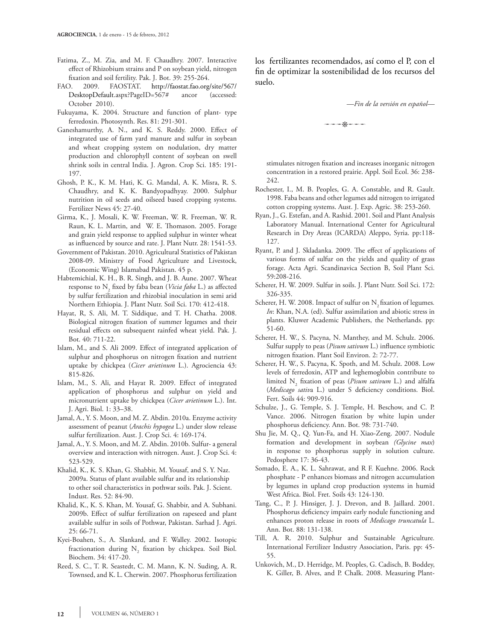- Fatima, Z., M. Zia, and M. F. Chaudhry. 2007. Interactive effect of Rhizobium strains and P on soybean yield, nitrogen fixation and soil fertility. Pak. J. Bot. 39: 255-264.
- 2009. FAOSTAT. http://faostat.fao.org/site/567/ DesktopDefault.aspx?PageID=567# ancor (accessed: October 2010).
- Fukuyama, K. 2004. Structure and function of plant- type ferredoxin. Photosynth. Res. 81: 291-301.
- Ganeshamurthy, A. N., and K. S. Reddy. 2000. Effect of integrated use of farm yard manure and sulfur in soybean and wheat cropping system on nodulation, dry matter production and chlorophyll content of soybean on swell shrink soils in central India. J. Agron. Crop Sci. 185: 191- 197.
- Ghosh, P. K., K. M. Hati, K. G. Mandal, A. K. Misra, R. S. Chaudhry, and K. K. Bandyopadhyay. 2000. Sulphur nutrition in oil seeds and oilseed based cropping systems. Fertilizer News 45: 27-40.
- Girma, K., J. Mosali, K. W. Freeman, W. R. Freeman, W. R. Raun, K. L. Martin, and W. E. Thomason. 2005. Forage and grain yield response to applied sulphur in winter wheat as influenced by source and rate. J. Plant Nutr. 28: 1541-53.
- Government of Pakistan. 2010. Agricultural Statistics of Pakistan 2008-09. Ministry of Food Agriculture and Livestock, (Economic Wing) Islamabad Pakistan. 45 p.
- Habtemichial, K. H., B. R. Singh, and J. B. Aune. 2007. Wheat response to N<sub>2</sub> fixed by faba bean (*Vicia faba* L.) as affected by sulfur fertilization and rhizobial inoculation in semi arid Northern Ethiopia. J. Plant Nutr. Soil Sci. 170: 412-418.
- Hayat, R, S. Ali, M. T. Siddique, and T. H. Chatha. 2008. Biological nitrogen fixation of summer legumes and their residual effects on subsequent rainfed wheat yield. Pak. J. Bot. 40: 711-22.
- Islam, M., and S. Ali 2009. Effect of integrated application of sulphur and phosphorus on nitrogen fixation and nutrient uptake by chickpea (*Cicer arietinum* L.). Agrociencia 43: 815-826.
- Islam, M., S. Ali, and Hayat R. 2009. Effect of integrated application of phosphorus and sulphur on yield and micronutrient uptake by chickpea (*Cicer arietinum* L.). Int. J. Agri. Biol. 1: 33–38.
- Jamal, A., Y. S. Moon, and M. Z. Abdin. 2010a. Enzyme activity assessment of peanut (*Arachis hypogea* L.) under slow release sulfur fertilization. Aust. J. Crop Sci. 4: 169-174.
- Jamal, A., Y. S. Moon, and M. Z. Abdin. 2010b. Sulfur- a general overview and interaction with nitrogen. Aust. J. Crop Sci. 4: 523-529.
- Khalid, K., K. S. Khan, G. Shabbir, M. Yousaf, and S. Y. Naz. 2009a. Status of plant available sulfur and its relationship to other soil characteristics in pothwar soils. Pak. J. Scient. Indust. Res. 52: 84-90.
- Khalid, K., K. S. Khan, M. Yousaf, G. Shabbir, and A. Subhani. 2009b. Effect of sulfur fertilization on rapeseed and plant available sulfur in soils of Pothwar, Pakistan. Sarhad J. Agri. 25: 66-71.
- Kyei-Boahen, S., A. Slankard, and F. Walley. 2002. Isotopic fractionation during  $N_2$  fixation by chickpea. Soil Biol. Biochem. 34: 417-20.
- Reed, S. C., T. R. Seastedt, C. M. Mann, K. N. Suding, A. R. Townsed, and K. L. Cherwin. 2007. Phosphorus fertilization

los fertilizantes recomendados, así como el P, con el fin de optimizar la sostenibilidad de los recursos del suelo.

#### —*Fin de la versión en español*—

 $p \rightarrow \frac{1}{2}$ 

stimulates nitrogen fixation and increases inorganic nitrogen concentration in a restored prairie. Appl. Soil Ecol. 36: 238- 242.

- Rochester, I., M. B. Peoples, G. A. Constable, and R. Gault. 1998. Faba beans and other legumes add nitrogen to irrigated cotton cropping systems. Aust. J. Exp. Agric. 38: 253-260.
- Ryan, J., G. Estefan, and A. Rashid. 2001. Soil and Plant Analysis Laboratory Manual. International Center for Agricultural Research in Dry Areas (ICARDA) Aleppo, Syria. pp:118- 127.
- Ryant, P. and J. Skladanka. 2009. The effect of applications of various forms of sulfur on the yields and quality of grass forage. Acta Agri. Scandinavica Section B, Soil Plant Sci. 59:208-216.
- Scherer, H. W. 2009. Sulfur in soils. J. Plant Nutr. Soil Sci. 172: 326-335.
- Scherer, H. W. 2008. Impact of sulfur on N<sub>2</sub> fixation of legumes. *In*: Khan, N.A. (ed). Sulfur assimilation and abiotic stress in plants. Kluwer Academic Publishers, the Netherlands. pp: 51-60.
- Scherer, H. W., S. Pacyna, N. Manthey, and M. Schulz. 2006. Sulfur supply to peas (*Pisum sativum* L.) influence symbiotic nitrogen fixation. Plant Soil Environ. 2: 72-77.
- Scherer, H. W., S. Pacyna, K. Spoth, and M. Schulz. 2008. Low levels of ferredoxin, ATP and leghemoglobin contribute to limited N2 fixation of peas (*Pisum sativum* L.) and alfalfa (*Medicago sativ*a L.) under S deficiency conditions. Biol. Fert. Soils 44: 909-916.
- Schulze, J., G. Temple, S. J. Temple, H. Beschow, and C. P. Vance. 2006. Nitrogen fixation by white lupin under phosphorus deficiency. Ann. Bot. 98: 731-740.
- Shu Jie, M. Q., Q. Yun-Fa, and H. Xiao-Zeng. 2007. Nodule formation and development in soybean *(Glycine max*) in response to phosphorus supply in solution culture. Pedosphere 17: 36-43.
- Somado, E. A., K. L. Sahrawat, and R F. Kuehne. 2006. Rock phosphate - P enhances biomass and nitrogen accumulation by legumes in upland crop production systems in humid West Africa. Biol. Fret. Soils 43: 124-130.
- Tang, C., P. J. Hinsiger, J. J. Drevon, and B. Jaillard. 2001. Phosphorus deficiency impairs early nodule functioning and enhances proton release in roots of *Medicago truncatula* L. Ann. Bot. 88: 131-138.
- Till, A. R. 2010. Sulphur and Sustainable Agriculture*.* International Fertilizer Industry Association, Paris. pp: 45- 55.
- Unkovich, M., D. Herridge, M. Peoples, G. Cadisch, B. Boddey, K. Giller, B. Alves, and P. Chalk. 2008. Measuring Plant-